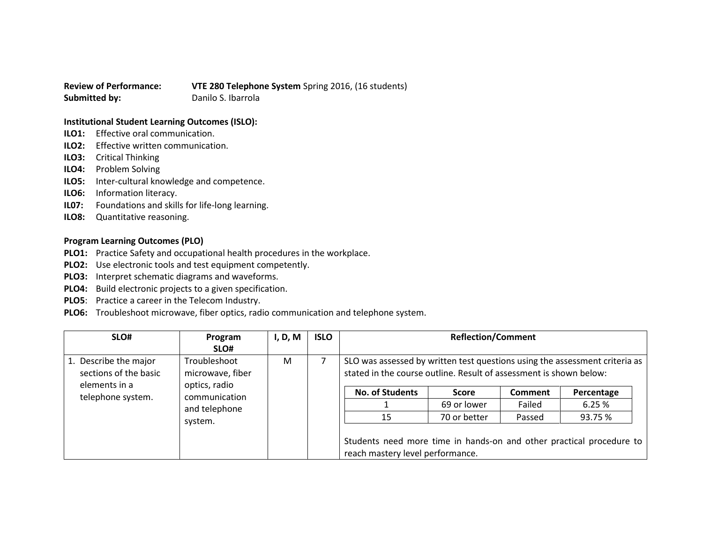**Review of Performance: VTE 280 Telephone System** Spring 2016, (16 students) **Submitted by:** Danilo S. Ibarrola

## **Institutional Student Learning Outcomes (ISLO):**

- **ILO1:** Effective oral communication.
- **ILO2:** Effective written communication.
- **ILO3:** Critical Thinking
- **ILO4:** Problem Solving
- **ILO5:** Inter-cultural knowledge and competence.
- **ILO6:** Information literacy.
- **IL07:** Foundations and skills for life-long learning.
- **ILO8:** Quantitative reasoning.

## **Program Learning Outcomes (PLO)**

- **PLO1:** Practice Safety and occupational health procedures in the workplace.
- **PLO2:** Use electronic tools and test equipment competently.
- **PLO3:** Interpret schematic diagrams and waveforms.
- **PLO4:** Build electronic projects to a given specification.
- **PLO5**: Practice a career in the Telecom Industry.
- **PLO6:** Troubleshoot microwave, fiber optics, radio communication and telephone system.

| SLO#                                                                                                                                                                        | Program | I, D, M | <b>ISLO</b>                                                                                              | <b>Reflection/Comment</b>                                                                                                                         |              |            |         |
|-----------------------------------------------------------------------------------------------------------------------------------------------------------------------------|---------|---------|----------------------------------------------------------------------------------------------------------|---------------------------------------------------------------------------------------------------------------------------------------------------|--------------|------------|---------|
|                                                                                                                                                                             | SLO#    |         |                                                                                                          |                                                                                                                                                   |              |            |         |
| 1. Describe the major<br>Troubleshoot<br>sections of the basic<br>microwave, fiber<br>optics, radio<br>elements in a<br>communication<br>telephone system.<br>and telephone |         | M       |                                                                                                          | SLO was assessed by written test questions using the assessment criteria as<br>stated in the course outline. Result of assessment is shown below: |              |            |         |
|                                                                                                                                                                             |         |         | <b>No. of Students</b>                                                                                   | <b>Score</b>                                                                                                                                      | Comment      | Percentage |         |
|                                                                                                                                                                             |         |         |                                                                                                          | 69 or lower                                                                                                                                       | Failed       | 6.25%      |         |
|                                                                                                                                                                             | system. |         |                                                                                                          | 15                                                                                                                                                | 70 or better | Passed     | 93.75 % |
|                                                                                                                                                                             |         |         | Students need more time in hands-on and other practical procedure to<br>reach mastery level performance. |                                                                                                                                                   |              |            |         |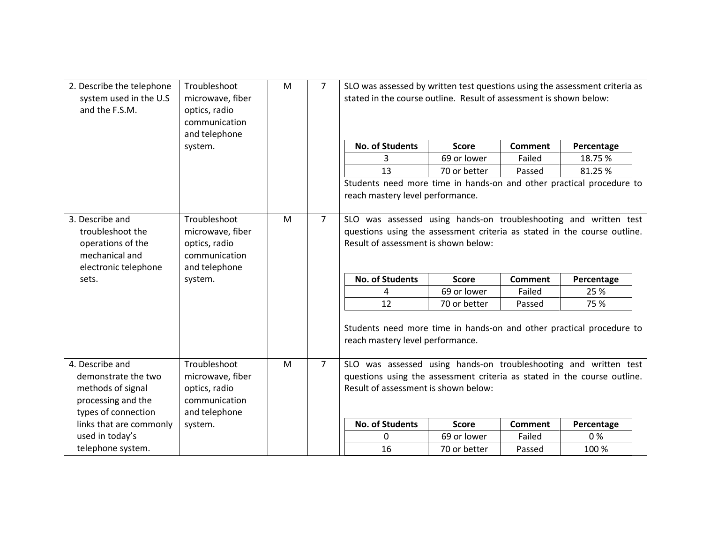| 2. Describe the telephone<br>system used in the U.S<br>and the F.S.M.                                    | Troubleshoot<br>microwave, fiber<br>optics, radio<br>communication<br>and telephone | M | $\overline{7}$ | SLO was assessed by written test questions using the assessment criteria as<br>stated in the course outline. Result of assessment is shown below:                                    |                        |                |                |            |
|----------------------------------------------------------------------------------------------------------|-------------------------------------------------------------------------------------|---|----------------|--------------------------------------------------------------------------------------------------------------------------------------------------------------------------------------|------------------------|----------------|----------------|------------|
|                                                                                                          | system.                                                                             |   |                | <b>No. of Students</b>                                                                                                                                                               | <b>Score</b>           | <b>Comment</b> | Percentage     |            |
|                                                                                                          |                                                                                     |   |                | 3                                                                                                                                                                                    | 69 or lower            | Failed         | 18.75%         |            |
|                                                                                                          |                                                                                     |   |                | 13                                                                                                                                                                                   | 70 or better           | Passed         | 81.25%         |            |
|                                                                                                          |                                                                                     |   |                | Students need more time in hands-on and other practical procedure to<br>reach mastery level performance.                                                                             |                        |                |                |            |
| 3. Describe and<br>troubleshoot the<br>operations of the<br>mechanical and<br>electronic telephone       | Troubleshoot<br>microwave, fiber<br>optics, radio<br>communication<br>and telephone | M | $\overline{7}$ | SLO was assessed using hands-on troubleshooting and written test<br>questions using the assessment criteria as stated in the course outline.<br>Result of assessment is shown below: |                        |                |                |            |
| sets.                                                                                                    | system.                                                                             |   |                |                                                                                                                                                                                      | <b>No. of Students</b> | <b>Score</b>   | <b>Comment</b> | Percentage |
|                                                                                                          |                                                                                     |   |                | 4                                                                                                                                                                                    | 69 or lower            | Failed         | 25 %           |            |
|                                                                                                          |                                                                                     |   |                | 12                                                                                                                                                                                   | 70 or better           | Passed         | 75 %           |            |
|                                                                                                          |                                                                                     |   |                | Students need more time in hands-on and other practical procedure to<br>reach mastery level performance.                                                                             |                        |                |                |            |
| 4. Describe and<br>demonstrate the two<br>methods of signal<br>processing and the<br>types of connection | Troubleshoot<br>microwave, fiber<br>optics, radio<br>communication<br>and telephone | M | $\overline{7}$ | SLO was assessed using hands-on troubleshooting and written test<br>questions using the assessment criteria as stated in the course outline.<br>Result of assessment is shown below: |                        |                |                |            |
| links that are commonly                                                                                  | system.                                                                             |   |                | <b>No. of Students</b>                                                                                                                                                               | <b>Score</b>           | <b>Comment</b> | Percentage     |            |
| used in today's                                                                                          |                                                                                     |   |                | $\mathbf{0}$                                                                                                                                                                         | 69 or lower            | Failed         | 0%             |            |
| telephone system.                                                                                        |                                                                                     |   |                | 16                                                                                                                                                                                   | 70 or better           | Passed         | 100 %          |            |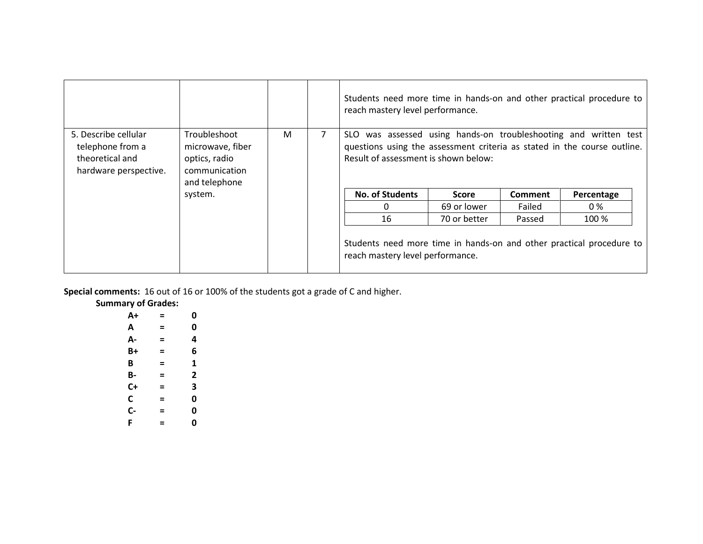|                                                                                      |                                                                                     |   | Students need more time in hands-on and other practical procedure to<br>reach mastery level performance.                                                                             |              |                |            |
|--------------------------------------------------------------------------------------|-------------------------------------------------------------------------------------|---|--------------------------------------------------------------------------------------------------------------------------------------------------------------------------------------|--------------|----------------|------------|
| 5. Describe cellular<br>telephone from a<br>theoretical and<br>hardware perspective. | Troubleshoot<br>microwave, fiber<br>optics, radio<br>communication<br>and telephone | M | SLO was assessed using hands-on troubleshooting and written test<br>questions using the assessment criteria as stated in the course outline.<br>Result of assessment is shown below: |              |                |            |
|                                                                                      | system.                                                                             |   | <b>No. of Students</b>                                                                                                                                                               | Score        | <b>Comment</b> | Percentage |
|                                                                                      |                                                                                     |   | <sup>n</sup>                                                                                                                                                                         | 69 or lower  | Failed         | 0 %        |
|                                                                                      |                                                                                     |   | 16                                                                                                                                                                                   | 70 or better | Passed         | 100 %      |
|                                                                                      |                                                                                     |   | Students need more time in hands-on and other practical procedure to<br>reach mastery level performance.                                                                             |              |                |            |

**Special comments:** 16 out of 16 or 100% of the students got a grade of C and higher.

**Summary of Grades:**

| A+   | Ξ | 0 |
|------|---|---|
| Α    | Ξ | 0 |
| А-   | Ξ | 4 |
| B+   | Ξ | 6 |
| B    | Ξ | 1 |
| B-   | Ξ | 2 |
| C+   | Ξ | 3 |
| C    | Ξ | 0 |
| $C-$ | Ξ | 0 |
| F    | Ξ | 0 |